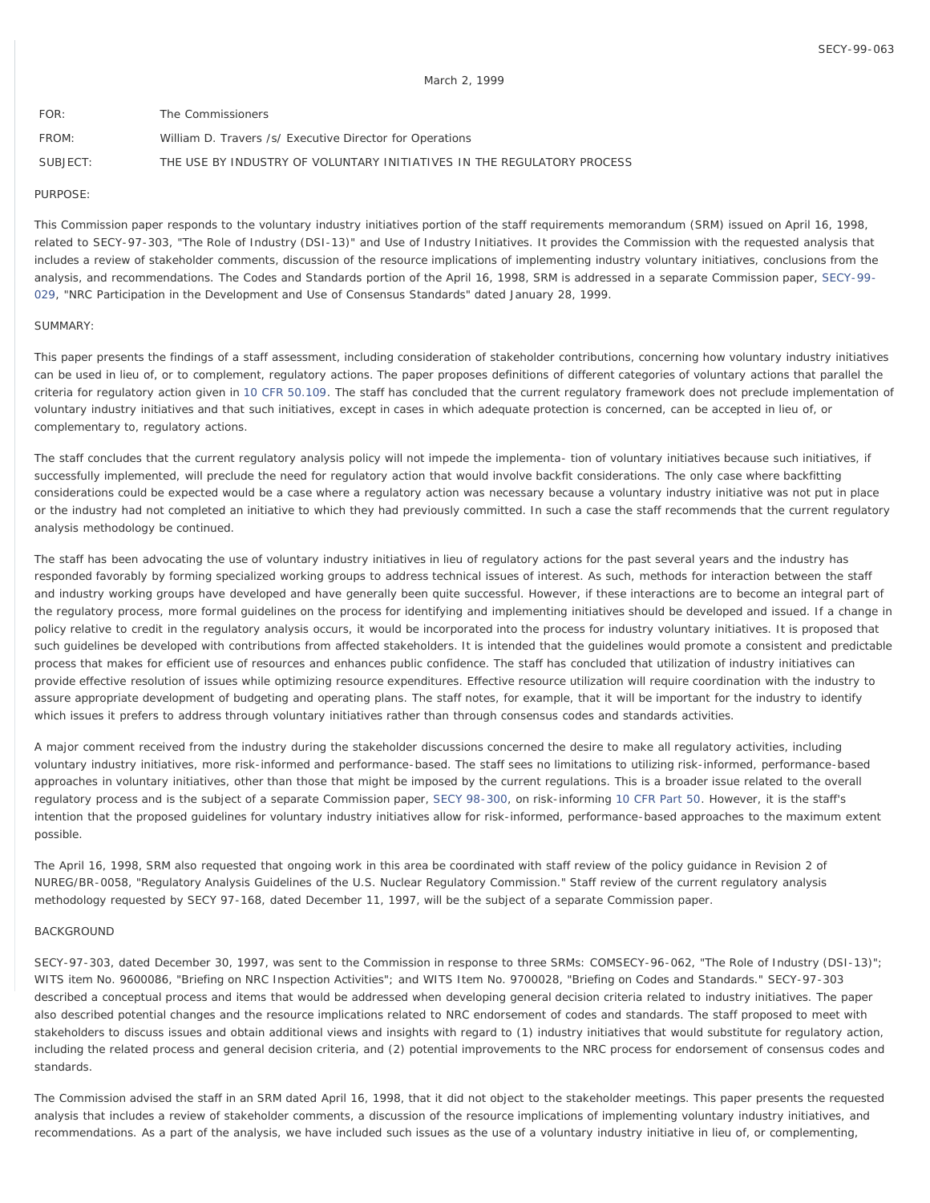| FOR      | The Commissioners                                                      |
|----------|------------------------------------------------------------------------|
| FROM:    | William D. Travers /s/ Executive Director for Operations               |
| SUBJECT: | THE USE BY INDUSTRY OF VOLUNTARY INITIATIVES IN THE REGULATORY PROCESS |

#### PURPOSE:

This Commission paper responds to the voluntary industry initiatives portion of the staff requirements memorandum (SRM) issued on April 16, 1998, related to SECY-97-303, "The Role of Industry (DSI-13)" and Use of Industry Initiatives. It provides the Commission with the requested analysis that includes a review of stakeholder comments, discussion of the resource implications of implementing industry voluntary initiatives, conclusions from the analysis, and recommendations. The Codes and Standards portion of the April 16, 1998, SRM is addressed in a separate Commission paper, [SECY-99-](http://www.nrc.gov/reading-rm/doc-collections/commission/secys/1999/secy1999-029/1999-029scy.html) [029,](http://www.nrc.gov/reading-rm/doc-collections/commission/secys/1999/secy1999-029/1999-029scy.html) "NRC Participation in the Development and Use of Consensus Standards" dated January 28, 1999.

#### SUMMARY:

This paper presents the findings of a staff assessment, including consideration of stakeholder contributions, concerning how voluntary industry initiatives can be used in lieu of, or to complement, regulatory actions. The paper proposes definitions of different categories of voluntary actions that parallel the criteria for regulatory action given in [10 CFR 50.109](http://www.nrc.gov/reading-rm/doc-collections/cfr/part050/part050-0109.html). The staff has concluded that the current regulatory framework does not preclude implementation of voluntary industry initiatives and that such initiatives, except in cases in which adequate protection is concerned, can be accepted in lieu of, or complementary to, regulatory actions.

The staff concludes that the current regulatory analysis policy will not impede the implementa- tion of voluntary initiatives because such initiatives, if successfully implemented, will preclude the need for regulatory action that would involve backfit considerations. The only case where backfitting considerations could be expected would be a case where a regulatory action was necessary because a voluntary industry initiative was not put in place or the industry had not completed an initiative to which they had previously committed. In such a case the staff recommends that the current regulatory analysis methodology be continued.

The staff has been advocating the use of voluntary industry initiatives in lieu of regulatory actions for the past several years and the industry has responded favorably by forming specialized working groups to address technical issues of interest. As such, methods for interaction between the staff and industry working groups have developed and have generally been quite successful. However, if these interactions are to become an integral part of the regulatory process, more formal guidelines on the process for identifying and implementing initiatives should be developed and issued. If a change in policy relative to credit in the regulatory analysis occurs, it would be incorporated into the process for industry voluntary initiatives. It is proposed that such guidelines be developed with contributions from affected stakeholders. It is intended that the quidelines would promote a consistent and predictable process that makes for efficient use of resources and enhances public confidence. The staff has concluded that utilization of industry initiatives can provide effective resolution of issues while optimizing resource expenditures. Effective resource utilization will require coordination with the industry to assure appropriate development of budgeting and operating plans. The staff notes, for example, that it will be important for the industry to identify which issues it prefers to address through voluntary initiatives rather than through consensus codes and standards activities.

A major comment received from the industry during the stakeholder discussions concerned the desire to make all regulatory activities, including voluntary industry initiatives, more risk-informed and performance-based. The staff sees no limitations to utilizing risk-informed, performance-based approaches in voluntary initiatives, other than those that might be imposed by the current regulations. This is a broader issue related to the overall regulatory process and is the subject of a separate Commission paper, [SECY 98-300](http://www.nrc.gov/reading-rm/doc-collections/commission/secys/1998/secy1998-300/1998-300scy.html), on risk-informing [10 CFR Part 50.](http://www.nrc.gov/reading-rm/doc-collections/cfr/part050/) However, it is the staff's intention that the proposed guidelines for voluntary industry initiatives allow for risk-informed, performance-based approaches to the maximum extent possible.

The April 16, 1998, SRM also requested that ongoing work in this area be coordinated with staff review of the policy guidance in Revision 2 of NUREG/BR-0058, "Regulatory Analysis Guidelines of the U.S. Nuclear Regulatory Commission." Staff review of the current regulatory analysis methodology requested by SECY 97-168, dated December 11, 1997, will be the subject of a separate Commission paper.

## BACKGROUND

SECY-97-303, dated December 30, 1997, was sent to the Commission in response to three SRMs: COMSECY-96-062, "The Role of Industry (DSI-13)"; WITS item No. 9600086, "Briefing on NRC Inspection Activities"; and WITS Item No. 9700028, "Briefing on Codes and Standards." SECY-97-303 described a conceptual process and items that would be addressed when developing general decision criteria related to industry initiatives. The paper also described potential changes and the resource implications related to NRC endorsement of codes and standards. The staff proposed to meet with stakeholders to discuss issues and obtain additional views and insights with regard to (1) industry initiatives that would substitute for regulatory action, including the related process and general decision criteria, and (2) potential improvements to the NRC process for endorsement of consensus codes and standards.

The Commission advised the staff in an SRM dated April 16, 1998, that it did not object to the stakeholder meetings. This paper presents the requested analysis that includes a review of stakeholder comments, a discussion of the resource implications of implementing voluntary industry initiatives, and recommendations. As a part of the analysis, we have included such issues as the use of a voluntary industry initiative in lieu of, or complementing,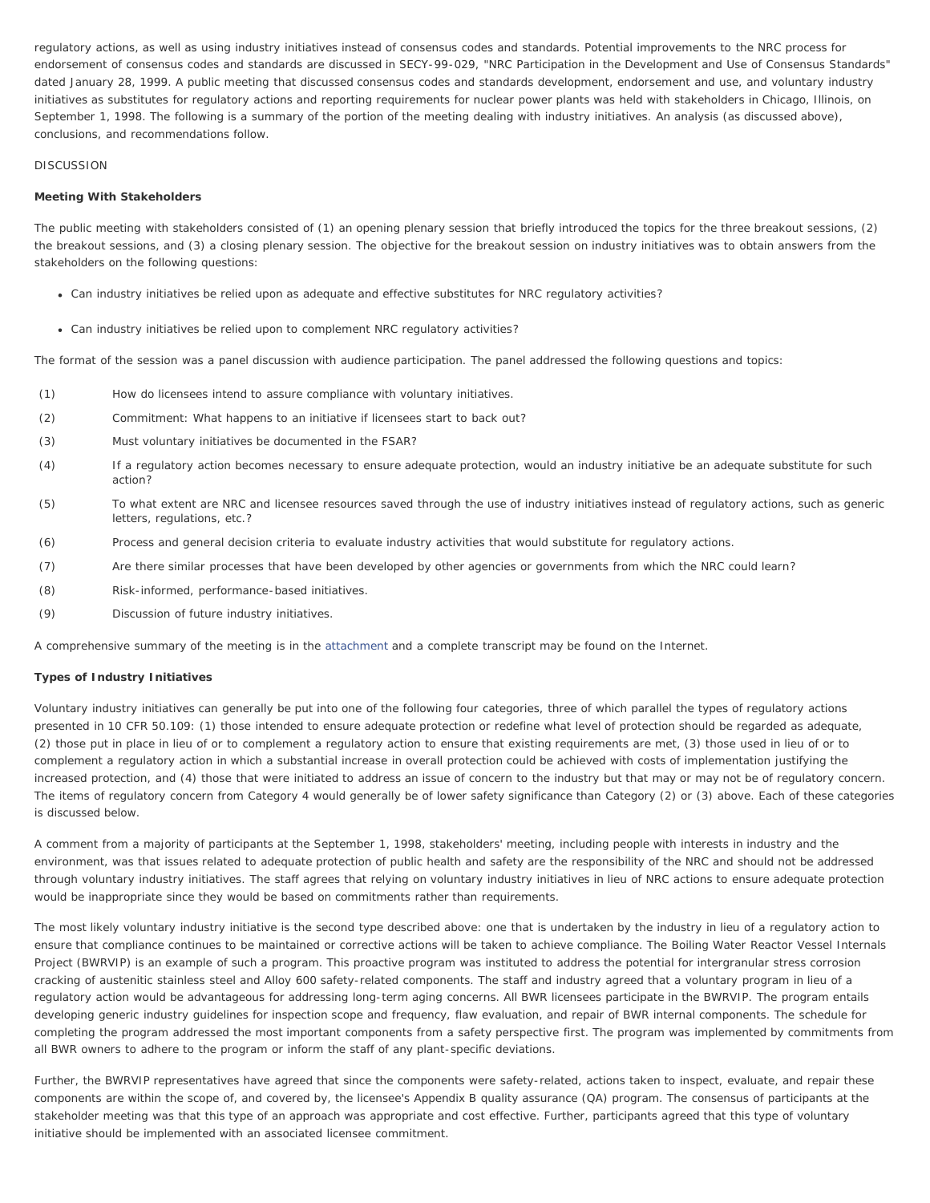regulatory actions, as well as using industry initiatives instead of consensus codes and standards. Potential improvements to the NRC process for endorsement of consensus codes and standards are discussed in SECY-99-029, "NRC Participation in the Development and Use of Consensus Standards" dated January 28, 1999. A public meeting that discussed consensus codes and standards development, endorsement and use, and voluntary industry initiatives as substitutes for regulatory actions and reporting requirements for nuclear power plants was held with stakeholders in Chicago, Illinois, on September 1, 1998. The following is a summary of the portion of the meeting dealing with industry initiatives. An analysis (as discussed above), conclusions, and recommendations follow.

# **DISCUSSION**

#### **Meeting With Stakeholders**

The public meeting with stakeholders consisted of (1) an opening plenary session that briefly introduced the topics for the three breakout sessions, (2) the breakout sessions, and (3) a closing plenary session. The objective for the breakout session on industry initiatives was to obtain answers from the stakeholders on the following questions:

- Can industry initiatives be relied upon as adequate and effective substitutes for NRC regulatory activities?
- Can industry initiatives be relied upon to complement NRC regulatory activities?

The format of the session was a panel discussion with audience participation. The panel addressed the following questions and topics:

- (1) How do licensees intend to assure compliance with voluntary initiatives.
- (2) Commitment: What happens to an initiative if licensees start to back out?
- (3) Must voluntary initiatives be documented in the FSAR?
- (4) If a regulatory action becomes necessary to ensure adequate protection, would an industry initiative be an adequate substitute for such action?
- (5) To what extent are NRC and licensee resources saved through the use of industry initiatives instead of regulatory actions, such as generic letters, regulations, etc.?
- (6) Process and general decision criteria to evaluate industry activities that would substitute for regulatory actions.
- (7) Are there similar processes that have been developed by other agencies or governments from which the NRC could learn?
- (8) Risk-informed, performance-based initiatives.
- (9) Discussion of future industry initiatives.

A comprehensive summary of the meeting is in the [attachment](#page-5-0) and a complete transcript may be found on the Internet.

## **Types of Industry Initiatives**

Voluntary industry initiatives can generally be put into one of the following four categories, three of which parallel the types of regulatory actions presented in 10 CFR 50.109: (1) those intended to ensure adequate protection or redefine what level of protection should be regarded as adequate, (2) those put in place in lieu of or to complement a regulatory action to ensure that existing requirements are met, (3) those used in lieu of or to complement a regulatory action in which a substantial increase in overall protection could be achieved with costs of implementation justifying the increased protection, and (4) those that were initiated to address an issue of concern to the industry but that may or may not be of regulatory concern. The items of regulatory concern from Category 4 would generally be of lower safety significance than Category (2) or (3) above. Each of these categories is discussed below.

A comment from a majority of participants at the September 1, 1998, stakeholders' meeting, including people with interests in industry and the environment, was that issues related to adequate protection of public health and safety are the responsibility of the NRC and should not be addressed through voluntary industry initiatives. The staff agrees that relying on voluntary industry initiatives in lieu of NRC actions to ensure adequate protection would be inappropriate since they would be based on commitments rather than requirements.

The most likely voluntary industry initiative is the second type described above: one that is undertaken by the industry in lieu of a regulatory action to ensure that compliance continues to be maintained or corrective actions will be taken to achieve compliance. The Boiling Water Reactor Vessel Internals Project (BWRVIP) is an example of such a program. This proactive program was instituted to address the potential for intergranular stress corrosion cracking of austenitic stainless steel and Alloy 600 safety-related components. The staff and industry agreed that a voluntary program in lieu of a regulatory action would be advantageous for addressing long-term aging concerns. All BWR licensees participate in the BWRVIP. The program entails developing generic industry guidelines for inspection scope and frequency, flaw evaluation, and repair of BWR internal components. The schedule for completing the program addressed the most important components from a safety perspective first. The program was implemented by commitments from all BWR owners to adhere to the program or inform the staff of any plant-specific deviations.

Further, the BWRVIP representatives have agreed that since the components were safety-related, actions taken to inspect, evaluate, and repair these components are within the scope of, and covered by, the licensee's Appendix B quality assurance (QA) program. The consensus of participants at the stakeholder meeting was that this type of an approach was appropriate and cost effective. Further, participants agreed that this type of voluntary initiative should be implemented with an associated licensee commitment.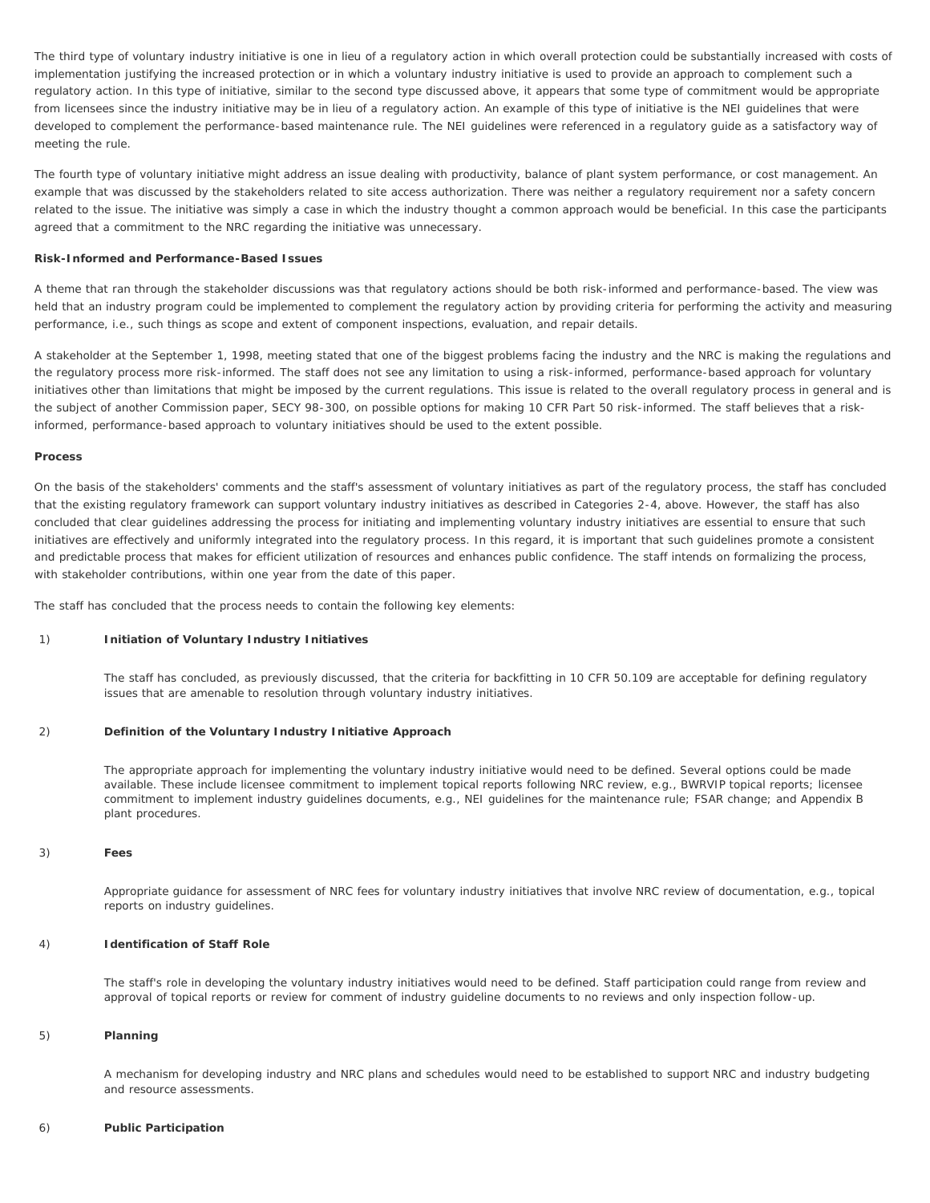The third type of voluntary industry initiative is one in lieu of a regulatory action in which overall protection could be substantially increased with costs of implementation justifying the increased protection or in which a voluntary industry initiative is used to provide an approach to complement such a regulatory action. In this type of initiative, similar to the second type discussed above, it appears that some type of commitment would be appropriate from licensees since the industry initiative may be in lieu of a regulatory action. An example of this type of initiative is the NEI guidelines that were developed to complement the performance-based maintenance rule. The NEI guidelines were referenced in a regulatory guide as a satisfactory way of meeting the rule.

The fourth type of voluntary initiative might address an issue dealing with productivity, balance of plant system performance, or cost management. An example that was discussed by the stakeholders related to site access authorization. There was neither a regulatory requirement nor a safety concern related to the issue. The initiative was simply a case in which the industry thought a common approach would be beneficial. In this case the participants agreed that a commitment to the NRC regarding the initiative was unnecessary.

## **Risk-Informed and Performance-Based Issues**

A theme that ran through the stakeholder discussions was that regulatory actions should be both risk-informed and performance-based. The view was held that an industry program could be implemented to complement the regulatory action by providing criteria for performing the activity and measuring performance, i.e., such things as scope and extent of component inspections, evaluation, and repair details.

A stakeholder at the September 1, 1998, meeting stated that one of the biggest problems facing the industry and the NRC is making the regulations and the regulatory process more risk-informed. The staff does not see any limitation to using a risk-informed, performance-based approach for voluntary initiatives other than limitations that might be imposed by the current regulations. This issue is related to the overall regulatory process in general and is the subject of another Commission paper, SECY 98-300, on possible options for making 10 CFR Part 50 risk-informed. The staff believes that a riskinformed, performance-based approach to voluntary initiatives should be used to the extent possible.

#### **Process**

On the basis of the stakeholders' comments and the staff's assessment of voluntary initiatives as part of the regulatory process, the staff has concluded that the existing regulatory framework can support voluntary industry initiatives as described in Categories 2-4, above. However, the staff has also concluded that clear guidelines addressing the process for initiating and implementing voluntary industry initiatives are essential to ensure that such initiatives are effectively and uniformly integrated into the regulatory process. In this regard, it is important that such guidelines promote a consistent and predictable process that makes for efficient utilization of resources and enhances public confidence. The staff intends on formalizing the process, with stakeholder contributions, within one year from the date of this paper.

The staff has concluded that the process needs to contain the following key elements:

## 1) **Initiation of Voluntary Industry Initiatives**

The staff has concluded, as previously discussed, that the criteria for backfitting in 10 CFR 50.109 are acceptable for defining regulatory issues that are amenable to resolution through voluntary industry initiatives.

#### 2) **Definition of the Voluntary Industry Initiative Approach**

The appropriate approach for implementing the voluntary industry initiative would need to be defined. Several options could be made available. These include licensee commitment to implement topical reports following NRC review, e.g., BWRVIP topical reports; licensee commitment to implement industry guidelines documents, e.g., NEI guidelines for the maintenance rule; FSAR change; and Appendix B plant procedures.

#### 3) **Fees**

Appropriate guidance for assessment of NRC fees for voluntary industry initiatives that involve NRC review of documentation, e.g., topical reports on industry guidelines.

# 4) **Identification of Staff Role**

The staff's role in developing the voluntary industry initiatives would need to be defined. Staff participation could range from review and approval of topical reports or review for comment of industry guideline documents to no reviews and only inspection follow-up.

# 5) **Planning**

A mechanism for developing industry and NRC plans and schedules would need to be established to support NRC and industry budgeting and resource assessments.

#### 6) **Public Participation**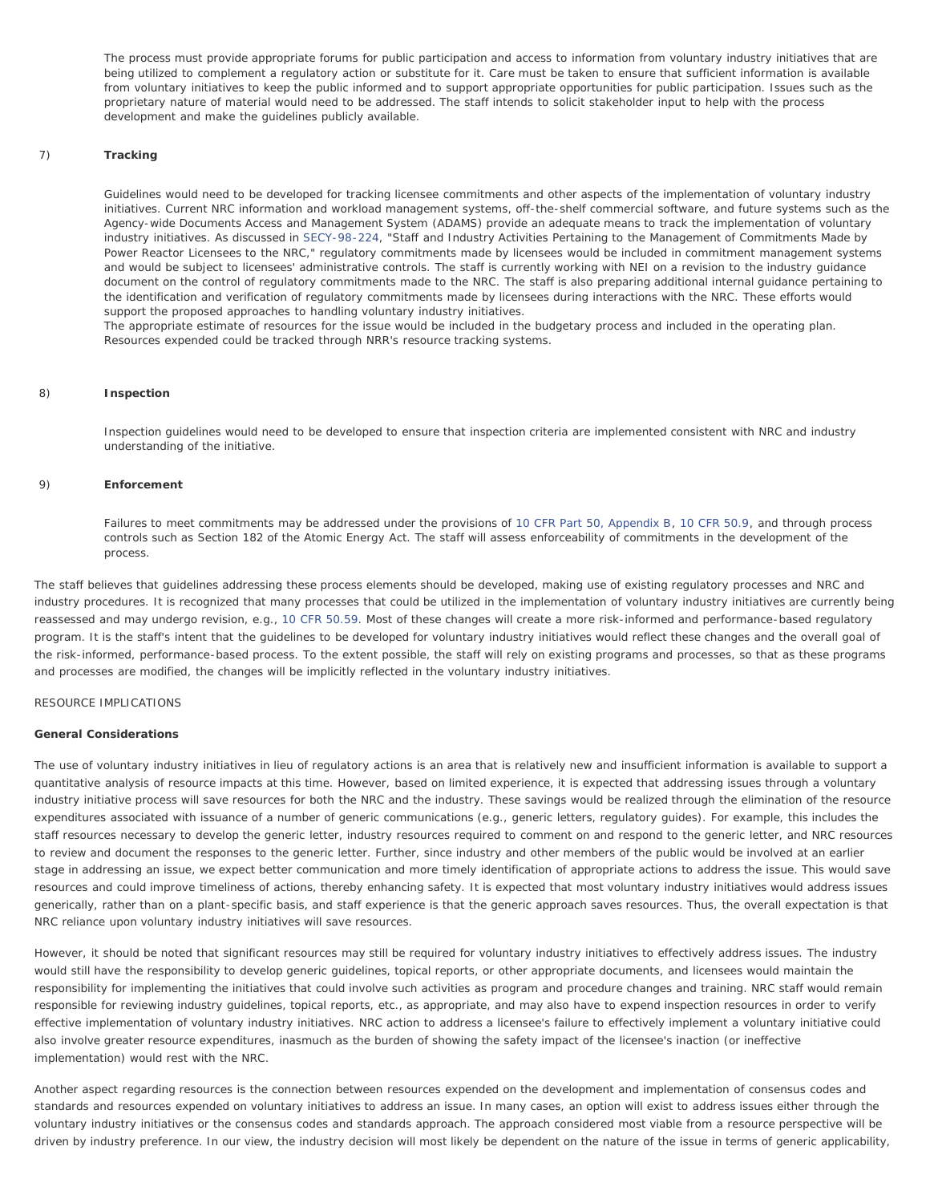The process must provide appropriate forums for public participation and access to information from voluntary industry initiatives that are being utilized to complement a regulatory action or substitute for it. Care must be taken to ensure that sufficient information is available from voluntary initiatives to keep the public informed and to support appropriate opportunities for public participation. Issues such as the proprietary nature of material would need to be addressed. The staff intends to solicit stakeholder input to help with the process development and make the guidelines publicly available.

# 7) **Tracking**

Guidelines would need to be developed for tracking licensee commitments and other aspects of the implementation of voluntary industry initiatives. Current NRC information and workload management systems, off-the-shelf commercial software, and future systems such as the Agency-wide Documents Access and Management System (ADAMS) provide an adequate means to track the implementation of voluntary industry initiatives. As discussed in [SECY-98-224,](http://www.nrc.gov/reading-rm/doc-collections/commission/secys/1998/secy1998-224/1998-224scy.html) "Staff and Industry Activities Pertaining to the Management of Commitments Made by Power Reactor Licensees to the NRC," regulatory commitments made by licensees would be included in commitment management systems and would be subject to licensees' administrative controls. The staff is currently working with NEI on a revision to the industry guidance document on the control of regulatory commitments made to the NRC. The staff is also preparing additional internal guidance pertaining to the identification and verification of regulatory commitments made by licensees during interactions with the NRC. These efforts would support the proposed approaches to handling voluntary industry initiatives.

The appropriate estimate of resources for the issue would be included in the budgetary process and included in the operating plan. Resources expended could be tracked through NRR's resource tracking systems.

### 8) **Inspection**

Inspection guidelines would need to be developed to ensure that inspection criteria are implemented consistent with NRC and industry understanding of the initiative.

# 9) **Enforcement**

Failures to meet commitments may be addressed under the provisions of [10 CFR Part 50, Appendix B,](http://www.nrc.gov/reading-rm/doc-collections/cfr/part050/part050-appb.html) [10 CFR 50.9,](http://www.nrc.gov/reading-rm/doc-collections/cfr/part050/part050-0009.html) and through process controls such as Section 182 of the Atomic Energy Act. The staff will assess enforceability of commitments in the development of the process.

The staff believes that guidelines addressing these process elements should be developed, making use of existing regulatory processes and NRC and industry procedures. It is recognized that many processes that could be utilized in the implementation of voluntary industry initiatives are currently being reassessed and may undergo revision, e.g., [10 CFR 50.59.](http://www.nrc.gov/reading-rm/doc-collections/cfr/part050/part050-0059.html) Most of these changes will create a more risk-informed and performance-based regulatory program. It is the staff's intent that the guidelines to be developed for voluntary industry initiatives would reflect these changes and the overall goal of the risk-informed, performance-based process. To the extent possible, the staff will rely on existing programs and processes, so that as these programs and processes are modified, the changes will be implicitly reflected in the voluntary industry initiatives.

# RESOURCE IMPLICATIONS

## **General Considerations**

The use of voluntary industry initiatives in lieu of regulatory actions is an area that is relatively new and insufficient information is available to support a quantitative analysis of resource impacts at this time. However, based on limited experience, it is expected that addressing issues through a voluntary industry initiative process will save resources for both the NRC and the industry. These savings would be realized through the elimination of the resource expenditures associated with issuance of a number of generic communications (e.g., generic letters, regulatory guides). For example, this includes the staff resources necessary to develop the generic letter, industry resources required to comment on and respond to the generic letter, and NRC resources to review and document the responses to the generic letter. Further, since industry and other members of the public would be involved at an earlier stage in addressing an issue, we expect better communication and more timely identification of appropriate actions to address the issue. This would save resources and could improve timeliness of actions, thereby enhancing safety. It is expected that most voluntary industry initiatives would address issues generically, rather than on a plant-specific basis, and staff experience is that the generic approach saves resources. Thus, the overall expectation is that NRC reliance upon voluntary industry initiatives will save resources.

However, it should be noted that significant resources may still be required for voluntary industry initiatives to effectively address issues. The industry would still have the responsibility to develop generic guidelines, topical reports, or other appropriate documents, and licensees would maintain the responsibility for implementing the initiatives that could involve such activities as program and procedure changes and training. NRC staff would remain responsible for reviewing industry guidelines, topical reports, etc., as appropriate, and may also have to expend inspection resources in order to verify effective implementation of voluntary industry initiatives. NRC action to address a licensee's failure to effectively implement a voluntary initiative could also involve greater resource expenditures, inasmuch as the burden of showing the safety impact of the licensee's inaction (or ineffective implementation) would rest with the NRC.

Another aspect regarding resources is the connection between resources expended on the development and implementation of consensus codes and standards and resources expended on voluntary initiatives to address an issue. In many cases, an option will exist to address issues either through the voluntary industry initiatives or the consensus codes and standards approach. The approach considered most viable from a resource perspective will be driven by industry preference. In our view, the industry decision will most likely be dependent on the nature of the issue in terms of generic applicability,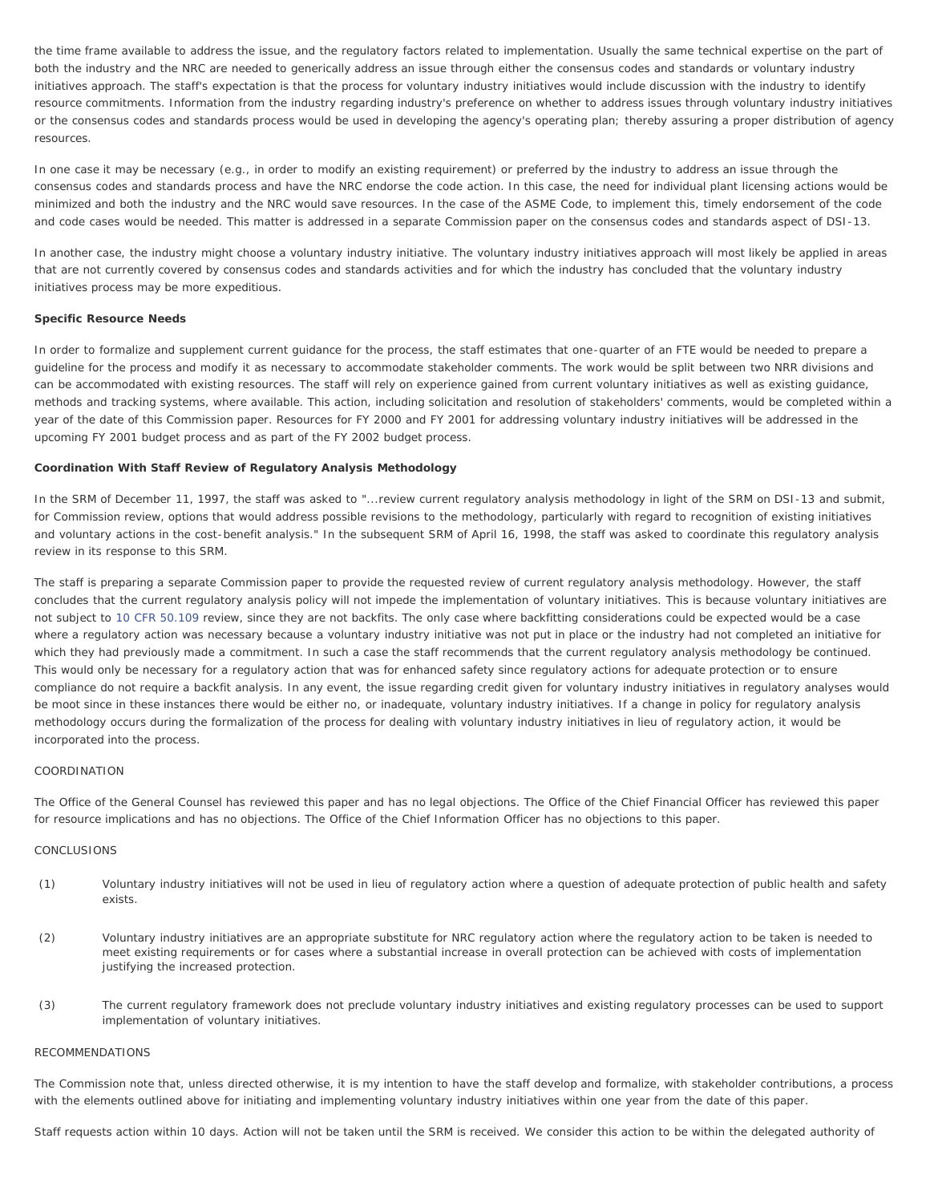the time frame available to address the issue, and the regulatory factors related to implementation. Usually the same technical expertise on the part of both the industry and the NRC are needed to generically address an issue through either the consensus codes and standards or voluntary industry initiatives approach. The staff's expectation is that the process for voluntary industry initiatives would include discussion with the industry to identify resource commitments. Information from the industry regarding industry's preference on whether to address issues through voluntary industry initiatives or the consensus codes and standards process would be used in developing the agency's operating plan; thereby assuring a proper distribution of agency resources.

In one case it may be necessary (e.g., in order to modify an existing requirement) or preferred by the industry to address an issue through the consensus codes and standards process and have the NRC endorse the code action. In this case, the need for individual plant licensing actions would be minimized and both the industry and the NRC would save resources. In the case of the ASME Code, to implement this, timely endorsement of the code and code cases would be needed. This matter is addressed in a separate Commission paper on the consensus codes and standards aspect of DSI-13.

In another case, the industry might choose a voluntary industry initiative. The voluntary industry initiatives approach will most likely be applied in areas that are not currently covered by consensus codes and standards activities and for which the industry has concluded that the voluntary industry initiatives process may be more expeditious.

#### **Specific Resource Needs**

In order to formalize and supplement current guidance for the process, the staff estimates that one-quarter of an FTE would be needed to prepare a guideline for the process and modify it as necessary to accommodate stakeholder comments. The work would be split between two NRR divisions and can be accommodated with existing resources. The staff will rely on experience gained from current voluntary initiatives as well as existing guidance, methods and tracking systems, where available. This action, including solicitation and resolution of stakeholders' comments, would be completed within a year of the date of this Commission paper. Resources for FY 2000 and FY 2001 for addressing voluntary industry initiatives will be addressed in the upcoming FY 2001 budget process and as part of the FY 2002 budget process.

# **Coordination With Staff Review of Regulatory Analysis Methodology**

In the SRM of December 11, 1997, the staff was asked to "...review current regulatory analysis methodology in light of the SRM on DSI-13 and submit, for Commission review, options that would address possible revisions to the methodology, particularly with regard to recognition of existing initiatives and voluntary actions in the cost-benefit analysis." In the subsequent SRM of April 16, 1998, the staff was asked to coordinate this regulatory analysis review in its response to this SRM.

The staff is preparing a separate Commission paper to provide the requested review of current regulatory analysis methodology. However, the staff concludes that the current regulatory analysis policy will not impede the implementation of voluntary initiatives. This is because voluntary initiatives are not subject to [10 CFR 50.109](http://www.nrc.gov/reading-rm/doc-collections/cfr/part050/part050-0109.html) review, since they are not backfits. The only case where backfitting considerations could be expected would be a case where a regulatory action was necessary because a voluntary industry initiative was not put in place or the industry had not completed an initiative for which they had previously made a commitment. In such a case the staff recommends that the current regulatory analysis methodology be continued. This would only be necessary for a regulatory action that was for enhanced safety since regulatory actions for adequate protection or to ensure compliance do not require a backfit analysis. In any event, the issue regarding credit given for voluntary industry initiatives in regulatory analyses would be moot since in these instances there would be either no, or inadequate, voluntary industry initiatives. If a change in policy for regulatory analysis methodology occurs during the formalization of the process for dealing with voluntary industry initiatives in lieu of regulatory action, it would be incorporated into the process.

## COORDINATION

The Office of the General Counsel has reviewed this paper and has no legal objections. The Office of the Chief Financial Officer has reviewed this paper for resource implications and has no objections. The Office of the Chief Information Officer has no objections to this paper.

# **CONCLUSIONS**

- (1) Voluntary industry initiatives will not be used in lieu of regulatory action where a question of adequate protection of public health and safety exists.
- (2) Voluntary industry initiatives are an appropriate substitute for NRC regulatory action where the regulatory action to be taken is needed to meet existing requirements or for cases where a substantial increase in overall protection can be achieved with costs of implementation justifying the increased protection.
- (3) The current regulatory framework does not preclude voluntary industry initiatives and existing regulatory processes can be used to support implementation of voluntary initiatives.

### RECOMMENDATIONS

The Commission note that, unless directed otherwise, it is my intention to have the staff develop and formalize, with stakeholder contributions, a process with the elements outlined above for initiating and implementing voluntary industry initiatives within one year from the date of this paper.

Staff requests action within 10 days. Action will not be taken until the SRM is received. We consider this action to be within the delegated authority of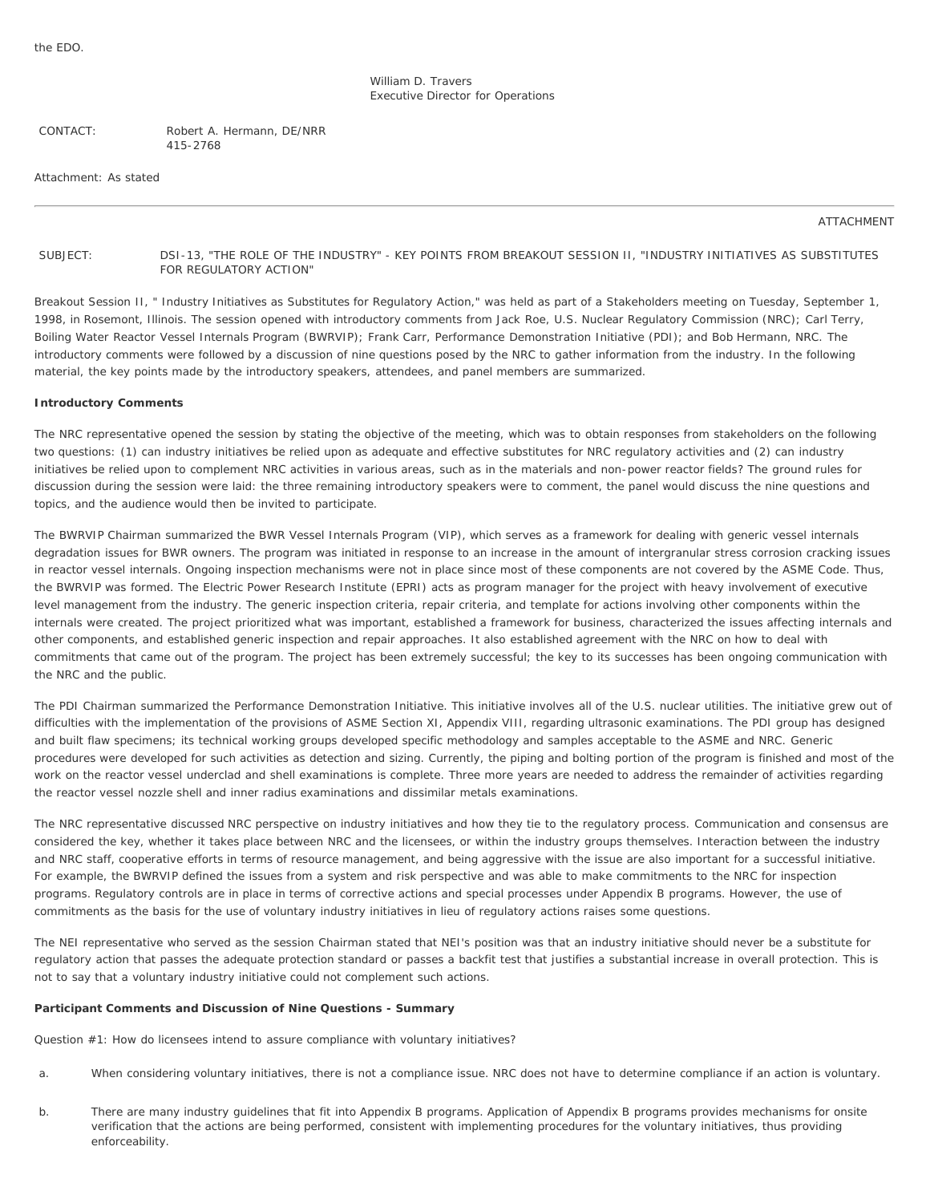William D. Travers Executive Director for Operations

CONTACT: Robert A. Hermann, DE/NRR 415-2768

Attachment: As stated

#### ATTACHMENT

<span id="page-5-0"></span>SUBJECT: DSI-13, "THE ROLE OF THE INDUSTRY" - KEY POINTS FROM BREAKOUT SESSION II, "INDUSTRY INITIATIVES AS SUBSTITUTES FOR REGULATORY ACTION"

Breakout Session II, " Industry Initiatives as Substitutes for Regulatory Action," was held as part of a Stakeholders meeting on Tuesday, September 1, 1998, in Rosemont, Illinois. The session opened with introductory comments from Jack Roe, U.S. Nuclear Regulatory Commission (NRC); Carl Terry, Boiling Water Reactor Vessel Internals Program (BWRVIP); Frank Carr, Performance Demonstration Initiative (PDI); and Bob Hermann, NRC. The introductory comments were followed by a discussion of nine questions posed by the NRC to gather information from the industry. In the following material, the key points made by the introductory speakers, attendees, and panel members are summarized.

#### **Introductory Comments**

The NRC representative opened the session by stating the objective of the meeting, which was to obtain responses from stakeholders on the following two questions: (1) can industry initiatives be relied upon as adequate and effective substitutes for NRC regulatory activities and (2) can industry initiatives be relied upon to complement NRC activities in various areas, such as in the materials and non-power reactor fields? The ground rules for discussion during the session were laid: the three remaining introductory speakers were to comment, the panel would discuss the nine questions and topics, and the audience would then be invited to participate.

The BWRVIP Chairman summarized the BWR Vessel Internals Program (VIP), which serves as a framework for dealing with generic vessel internals degradation issues for BWR owners. The program was initiated in response to an increase in the amount of intergranular stress corrosion cracking issues in reactor vessel internals. Ongoing inspection mechanisms were not in place since most of these components are not covered by the ASME Code. Thus, the BWRVIP was formed. The Electric Power Research Institute (EPRI) acts as program manager for the project with heavy involvement of executive level management from the industry. The generic inspection criteria, repair criteria, and template for actions involving other components within the internals were created. The project prioritized what was important, established a framework for business, characterized the issues affecting internals and other components, and established generic inspection and repair approaches. It also established agreement with the NRC on how to deal with commitments that came out of the program. The project has been extremely successful; the key to its successes has been ongoing communication with the NRC and the public.

The PDI Chairman summarized the Performance Demonstration Initiative. This initiative involves all of the U.S. nuclear utilities. The initiative grew out of difficulties with the implementation of the provisions of ASME Section XI, Appendix VIII, regarding ultrasonic examinations. The PDI group has designed and built flaw specimens; its technical working groups developed specific methodology and samples acceptable to the ASME and NRC. Generic procedures were developed for such activities as detection and sizing. Currently, the piping and bolting portion of the program is finished and most of the work on the reactor vessel underclad and shell examinations is complete. Three more years are needed to address the remainder of activities regarding the reactor vessel nozzle shell and inner radius examinations and dissimilar metals examinations.

The NRC representative discussed NRC perspective on industry initiatives and how they tie to the regulatory process. Communication and consensus are considered the key, whether it takes place between NRC and the licensees, or within the industry groups themselves. Interaction between the industry and NRC staff, cooperative efforts in terms of resource management, and being aggressive with the issue are also important for a successful initiative. For example, the BWRVIP defined the issues from a system and risk perspective and was able to make commitments to the NRC for inspection programs. Regulatory controls are in place in terms of corrective actions and special processes under Appendix B programs. However, the use of commitments as the basis for the use of voluntary industry initiatives in lieu of regulatory actions raises some questions.

The NEI representative who served as the session Chairman stated that NEI's position was that an industry initiative should never be a substitute for regulatory action that passes the adequate protection standard or passes a backfit test that justifies a substantial increase in overall protection. This is not to say that a voluntary industry initiative could not complement such actions.

## **Participant Comments and Discussion of Nine Questions - Summary**

Question #1: How do licensees intend to assure compliance with voluntary initiatives?

- a. When considering voluntary initiatives, there is not a compliance issue. NRC does not have to determine compliance if an action is voluntary.
- b. There are many industry guidelines that fit into Appendix B programs. Application of Appendix B programs provides mechanisms for onsite verification that the actions are being performed, consistent with implementing procedures for the voluntary initiatives, thus providing enforceability.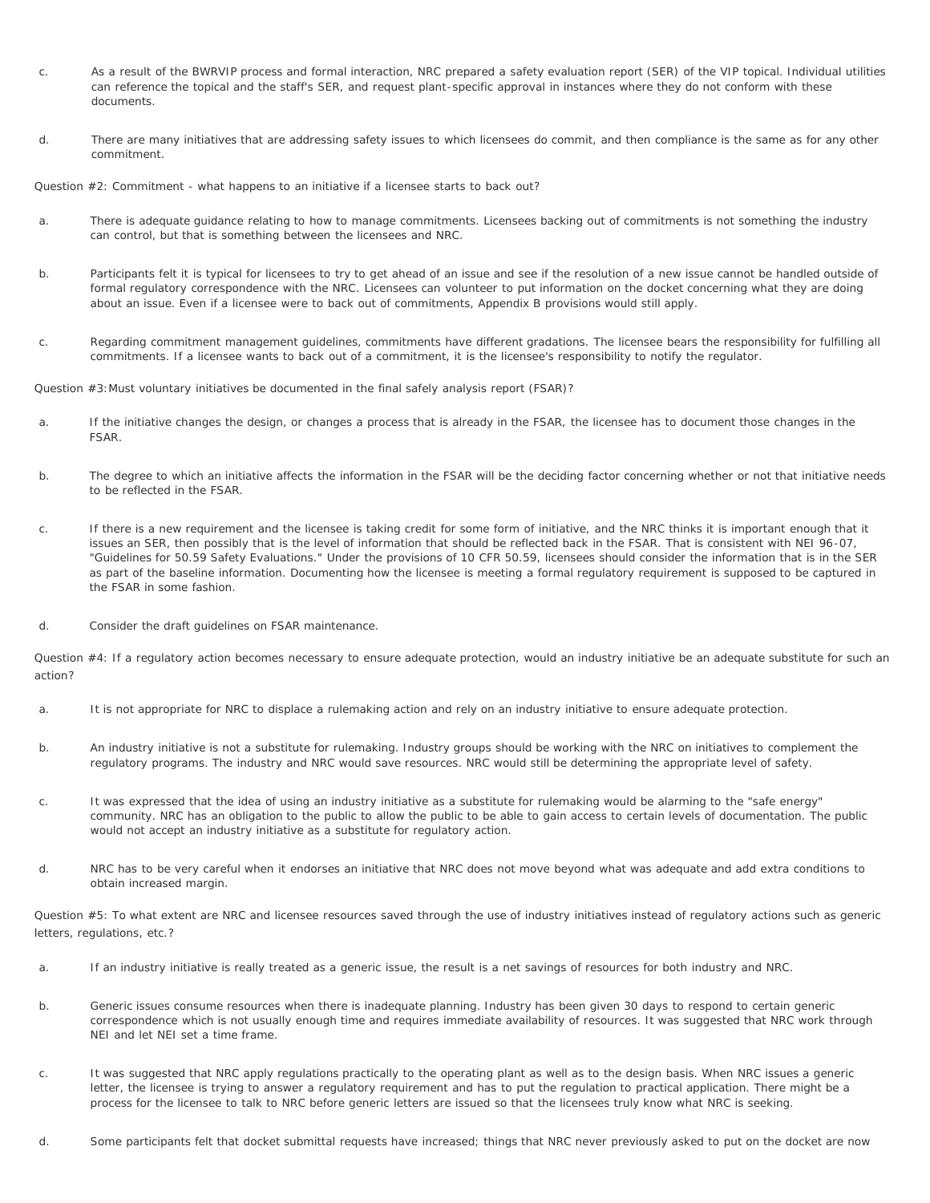- c. As a result of the BWRVIP process and formal interaction, NRC prepared a safety evaluation report (SER) of the VIP topical. Individual utilities can reference the topical and the staff's SER, and request plant-specific approval in instances where they do not conform with these documents.
- d. There are many initiatives that are addressing safety issues to which licensees do commit, and then compliance is the same as for any other commitment.

Question #2: Commitment - what happens to an initiative if a licensee starts to back out?

- a. There is adequate guidance relating to how to manage commitments. Licensees backing out of commitments is not something the industry can control, but that is something between the licensees and NRC.
- b. Participants felt it is typical for licensees to try to get ahead of an issue and see if the resolution of a new issue cannot be handled outside of formal regulatory correspondence with the NRC. Licensees can volunteer to put information on the docket concerning what they are doing about an issue. Even if a licensee were to back out of commitments, Appendix B provisions would still apply.
- c. Regarding commitment management guidelines, commitments have different gradations. The licensee bears the responsibility for fulfilling all commitments. If a licensee wants to back out of a commitment, it is the licensee's responsibility to notify the regulator.

Question #3:Must voluntary initiatives be documented in the final safely analysis report (FSAR)?

- a. If the initiative changes the design, or changes a process that is already in the FSAR, the licensee has to document those changes in the FSAR.
- b. The degree to which an initiative affects the information in the FSAR will be the deciding factor concerning whether or not that initiative needs to be reflected in the FSAR.
- c. If there is a new requirement and the licensee is taking credit for some form of initiative, and the NRC thinks it is important enough that it issues an SER, then possibly that is the level of information that should be reflected back in the FSAR. That is consistent with NEI 96-07, "Guidelines for 50.59 Safety Evaluations." Under the provisions of 10 CFR 50.59, licensees should consider the information that is in the SER as part of the baseline information. Documenting how the licensee is meeting a formal regulatory requirement is supposed to be captured in the FSAR in some fashion.
- d. Consider the draft guidelines on FSAR maintenance.

Question #4: If a regulatory action becomes necessary to ensure adequate protection, would an industry initiative be an adequate substitute for such an action?

- a. It is not appropriate for NRC to displace a rulemaking action and rely on an industry initiative to ensure adequate protection.
- b. An industry initiative is not a substitute for rulemaking. Industry groups should be working with the NRC on initiatives to complement the regulatory programs. The industry and NRC would save resources. NRC would still be determining the appropriate level of safety.
- c. It was expressed that the idea of using an industry initiative as a substitute for rulemaking would be alarming to the "safe energy" community. NRC has an obligation to the public to allow the public to be able to gain access to certain levels of documentation. The public would not accept an industry initiative as a substitute for regulatory action.
- d. NRC has to be very careful when it endorses an initiative that NRC does not move beyond what was adequate and add extra conditions to obtain increased margin.

Question #5: To what extent are NRC and licensee resources saved through the use of industry initiatives instead of regulatory actions such as generic letters, regulations, etc.?

- a. If an industry initiative is really treated as a generic issue, the result is a net savings of resources for both industry and NRC.
- b. Generic issues consume resources when there is inadequate planning. Industry has been given 30 days to respond to certain generic correspondence which is not usually enough time and requires immediate availability of resources. It was suggested that NRC work through NEI and let NEI set a time frame.
- c. It was suggested that NRC apply regulations practically to the operating plant as well as to the design basis. When NRC issues a generic letter, the licensee is trying to answer a regulatory requirement and has to put the regulation to practical application. There might be a process for the licensee to talk to NRC before generic letters are issued so that the licensees truly know what NRC is seeking.
- d. Some participants felt that docket submittal requests have increased; things that NRC never previously asked to put on the docket are now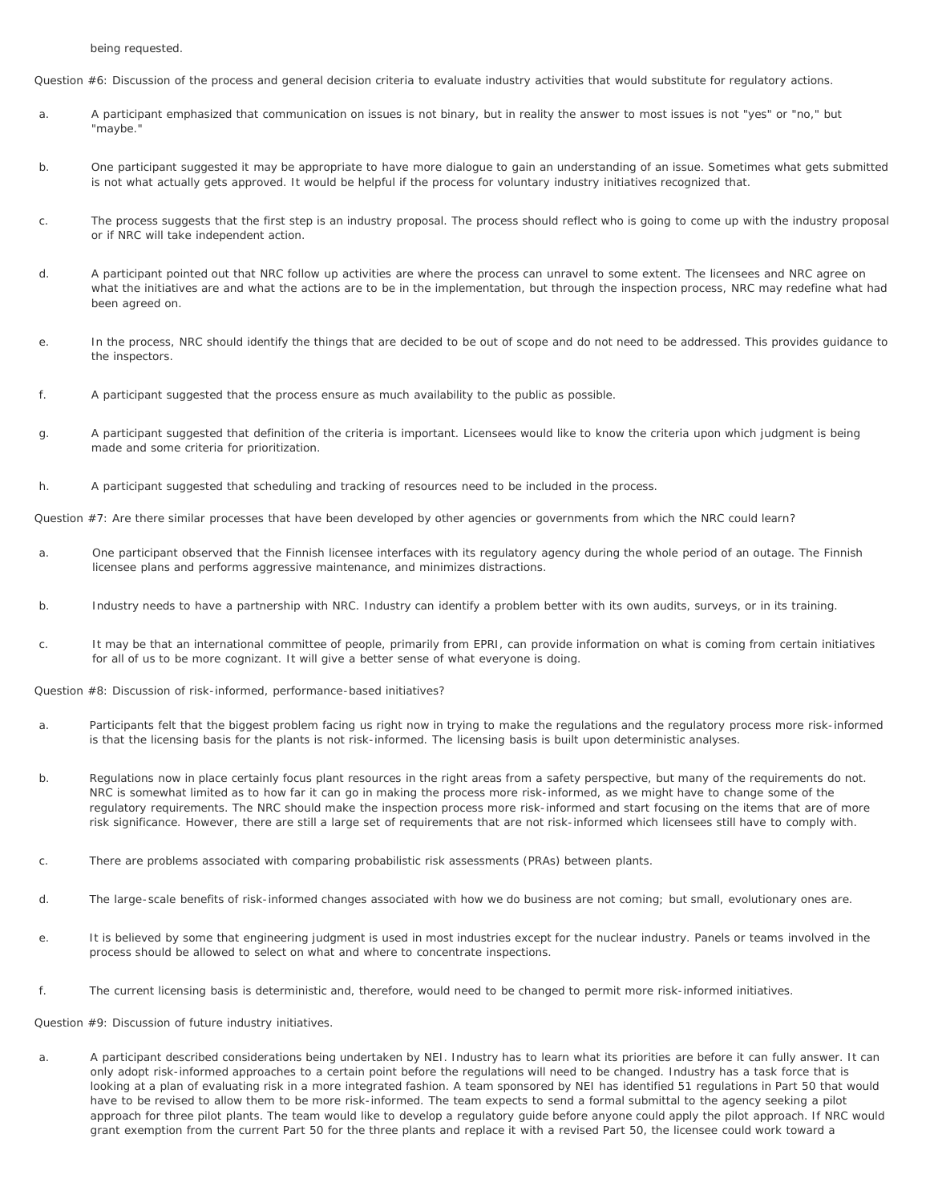being requested.

Question #6: Discussion of the process and general decision criteria to evaluate industry activities that would substitute for regulatory actions.

- a. A participant emphasized that communication on issues is not binary, but in reality the answer to most issues is not "yes" or "no," but "maybe."
- b. One participant suggested it may be appropriate to have more dialogue to gain an understanding of an issue. Sometimes what gets submitted is not what actually gets approved. It would be helpful if the process for voluntary industry initiatives recognized that.
- c. The process suggests that the first step is an industry proposal. The process should reflect who is going to come up with the industry proposal or if NRC will take independent action.
- d. A participant pointed out that NRC follow up activities are where the process can unravel to some extent. The licensees and NRC agree on what the initiatives are and what the actions are to be in the implementation, but through the inspection process, NRC may redefine what had been agreed on.
- e. In the process, NRC should identify the things that are decided to be out of scope and do not need to be addressed. This provides guidance to the inspectors.
- f. A participant suggested that the process ensure as much availability to the public as possible.
- g. A participant suggested that definition of the criteria is important. Licensees would like to know the criteria upon which judgment is being made and some criteria for prioritization.
- h. A participant suggested that scheduling and tracking of resources need to be included in the process.

Question #7: Are there similar processes that have been developed by other agencies or governments from which the NRC could learn?

- a. One participant observed that the Finnish licensee interfaces with its regulatory agency during the whole period of an outage. The Finnish licensee plans and performs aggressive maintenance, and minimizes distractions.
- b. Industry needs to have a partnership with NRC. Industry can identify a problem better with its own audits, surveys, or in its training.
- c. It may be that an international committee of people, primarily from EPRI, can provide information on what is coming from certain initiatives for all of us to be more cognizant. It will give a better sense of what everyone is doing.

Question #8: Discussion of risk-informed, performance-based initiatives?

- a. Participants felt that the biggest problem facing us right now in trying to make the regulations and the regulatory process more risk-informed is that the licensing basis for the plants is not risk-informed. The licensing basis is built upon deterministic analyses.
- b. Regulations now in place certainly focus plant resources in the right areas from a safety perspective, but many of the requirements do not. NRC is somewhat limited as to how far it can go in making the process more risk-informed, as we might have to change some of the regulatory requirements. The NRC should make the inspection process more risk-informed and start focusing on the items that are of more risk significance. However, there are still a large set of requirements that are not risk-informed which licensees still have to comply with.
- c. There are problems associated with comparing probabilistic risk assessments (PRAs) between plants.
- d. The large-scale benefits of risk-informed changes associated with how we do business are not coming; but small, evolutionary ones are.
- e. It is believed by some that engineering judgment is used in most industries except for the nuclear industry. Panels or teams involved in the process should be allowed to select on what and where to concentrate inspections.
- f. The current licensing basis is deterministic and, therefore, would need to be changed to permit more risk-informed initiatives.

Question #9: Discussion of future industry initiatives.

a. A participant described considerations being undertaken by NEI. Industry has to learn what its priorities are before it can fully answer. It can only adopt risk-informed approaches to a certain point before the regulations will need to be changed. Industry has a task force that is looking at a plan of evaluating risk in a more integrated fashion. A team sponsored by NEI has identified 51 regulations in Part 50 that would have to be revised to allow them to be more risk-informed. The team expects to send a formal submittal to the agency seeking a pilot approach for three pilot plants. The team would like to develop a regulatory guide before anyone could apply the pilot approach. If NRC would grant exemption from the current Part 50 for the three plants and replace it with a revised Part 50, the licensee could work toward a